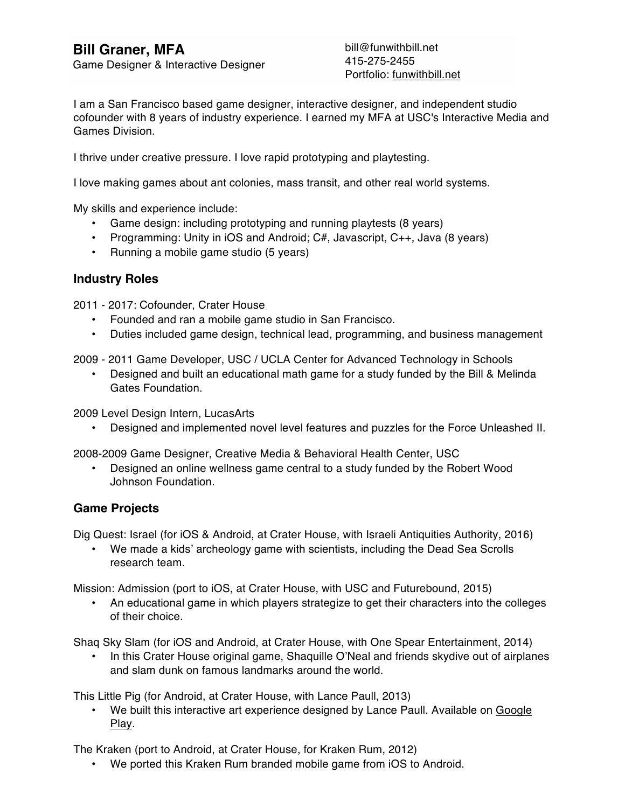# **Bill Graner, MFA**

Game Designer & Interactive Designer

bill@funwithbill.net 415-275-2455 Portfolio: funwithbill.net

I am a San Francisco based game designer, interactive designer, and independent studio cofounder with 8 years of industry experience. I earned my MFA at USC's Interactive Media and Games Division.

I thrive under creative pressure. I love rapid prototyping and playtesting.

I love making games about ant colonies, mass transit, and other real world systems.

My skills and experience include:

- Game design: including prototyping and running playtests (8 years)
- Programming: Unity in iOS and Android; C#, Javascript, C++, Java (8 years)
- Running a mobile game studio (5 years)

#### **Industry Roles**

2011 - 2017: Cofounder, Crater House

- Founded and ran a mobile game studio in San Francisco.
- Duties included game design, technical lead, programming, and business management

2009 - 2011 Game Developer, USC / UCLA Center for Advanced Technology in Schools

• Designed and built an educational math game for a study funded by the Bill & Melinda Gates Foundation.

2009 Level Design Intern, LucasArts

• Designed and implemented novel level features and puzzles for the Force Unleashed II.

2008-2009 Game Designer, Creative Media & Behavioral Health Center, USC

• Designed an online wellness game central to a study funded by the Robert Wood Johnson Foundation.

#### **Game Projects**

Dig Quest: Israel (for iOS & Android, at Crater House, with Israeli Antiquities Authority, 2016)

• We made a kids' archeology game with scientists, including the Dead Sea Scrolls research team.

Mission: Admission (port to iOS, at Crater House, with USC and Futurebound, 2015)

• An educational game in which players strategize to get their characters into the colleges of their choice.

Shaq Sky Slam (for iOS and Android, at Crater House, with One Spear Entertainment, 2014)

• In this Crater House original game, Shaquille O'Neal and friends skydive out of airplanes and slam dunk on famous landmarks around the world.

This Little Pig (for Android, at Crater House, with Lance Paull, 2013)

• We built this interactive art experience designed by Lance Paull. Available on Google Play.

The Kraken (port to Android, at Crater House, for Kraken Rum, 2012)

• We ported this Kraken Rum branded mobile game from iOS to Android.